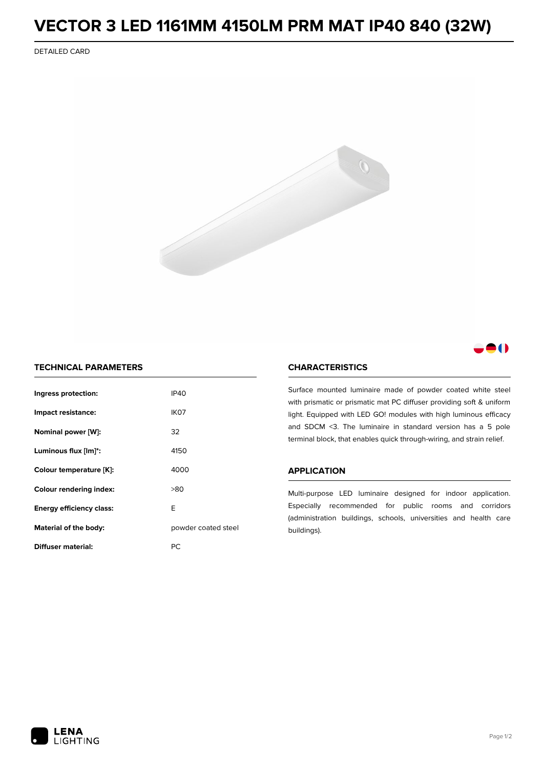# **VECTOR 3 LED 1161MM 4150LM PRM MAT IP40 840 (32W)**

DETAILED CARD



## 8 O

### **TECHNICAL PARAMETERS**

| Ingress protection:                          | IP40 |  |
|----------------------------------------------|------|--|
| Impact resistance:                           | IK07 |  |
| Nominal power [W]:                           | 32   |  |
| Luminous flux [lm]*:                         | 4150 |  |
| Colour temperature [K]:                      | 4000 |  |
| Colour rendering index:                      | >80  |  |
| Energy efficiency class:                     | F    |  |
| Material of the body:<br>powder coated steel |      |  |
| <b>Diffuser material:</b>                    | РC   |  |

### **CHARACTERISTICS**

Surface mounted luminaire made of powder coated white steel with prismatic or prismatic mat PC diffuser providing soft & uniform light. Equipped with LED GO! modules with high luminous efficacy and SDCM <3. The luminaire in standard version has a 5 pole terminal block, that enables quick through-wiring, and strain relief.

#### **APPLICATION**

Multi-purpose LED luminaire designed for indoor application. Especially recommended for public rooms and corridors (administration buildings, schools, universities and health care buildings).